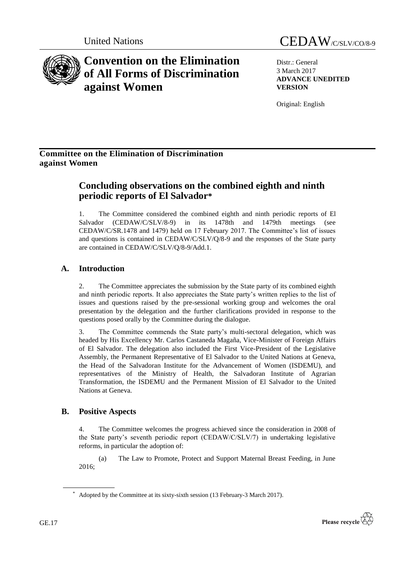

# **Convention on the Elimination of All Forms of Discrimination against Women**

Distr.: General 3 March 2017 **ADVANCE UNEDITED VERSION**

Original: English

### **Committee on the Elimination of Discrimination against Women**

## **Concluding observations on the combined eighth and ninth periodic reports of El Salvador\***

1. The Committee considered the combined eighth and ninth periodic reports of El Salvador (CEDAW/C/SLV/8-9) in its 1478th and 1479th meetings (see CEDAW/C/SR.1478 and 1479) held on 17 February 2017. The Committee's list of issues and questions is contained in CEDAW/C/SLV/Q/8-9 and the responses of the State party are contained in CEDAW/C/SLV/Q/8-9/Add.1.

## **A. Introduction**

2. The Committee appreciates the submission by the State party of its combined eighth and ninth periodic reports. It also appreciates the State party's written replies to the list of issues and questions raised by the pre-sessional working group and welcomes the oral presentation by the delegation and the further clarifications provided in response to the questions posed orally by the Committee during the dialogue.

3. The Committee commends the State party's multi-sectoral delegation, which was headed by His Excellency Mr. Carlos Castaneda Magaña, Vice-Minister of Foreign Affairs of El Salvador. The delegation also included the First Vice-President of the Legislative Assembly, the Permanent Representative of El Salvador to the United Nations at Geneva, the Head of the Salvadoran Institute for the Advancement of Women (ISDEMU), and representatives of the Ministry of Health, the Salvadoran Institute of Agrarian Transformation, the ISDEMU and the Permanent Mission of El Salvador to the United Nations at Geneva.

### **B. Positive Aspects**

4. The Committee welcomes the progress achieved since the consideration in 2008 of the State party's seventh periodic report (CEDAW/C/SLV/7) in undertaking legislative reforms, in particular the adoption of:

(a) The Law to Promote, Protect and Support Maternal Breast Feeding, in June 2016;



<sup>\*</sup> Adopted by the Committee at its sixty-sixth session (13 February-3 March 2017).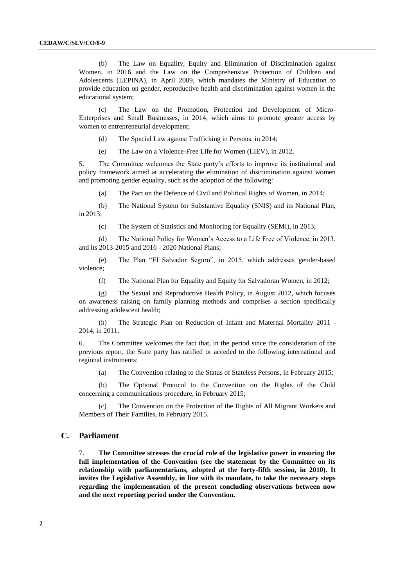(b) The Law on Equality, Equity and Elimination of Discrimination against Women, in 2016 and the Law on the Comprehensive Protection of Children and Adolescents (LEPINA), in April 2009, which mandates the Ministry of Education to provide education on gender, reproductive health and discrimination against women in the educational system;

(c) The Law on the Promotion, Protection and Development of Micro-Enterprises and Small Businesses, in 2014, which aims to promote greater access by women to entrepreneurial development;

(d) The Special Law against Trafficking in Persons, in 2014;

(e) The Law on a Violence-Free Life for Women (LIEV), in 2012.

5. The Committee welcomes the State party's efforts to improve its institutional and policy framework aimed at accelerating the elimination of discrimination against women and promoting gender equality, such as the adoption of the following:

(a) The Pact on the Defence of Civil and Political Rights of Women, in 2014;

(b) The National System for Substantive Equality (SNIS) and its National Plan, in 2013;

(c) The System of Statistics and Monitoring for Equality (SEMI), in 2013;

(d) The National Policy for Women's Access to a Life Free of Violence, in 2013, and its 2013-2015 and 2016 - 2020 National Plans;

(e) The Plan "El Salvador Seguro", in 2015, which addresses gender-based violence;

(f) The National Plan for Equality and Equity for Salvadoran Women, in 2012;

(g) The Sexual and Reproductive Health Policy, in August 2012, which focuses on awareness raising on family planning methods and comprises a section specifically addressing adolescent health;

(h) The Strategic Plan on Reduction of Infant and Maternal Mortality 2011 - 2014, in 2011.

6. The Committee welcomes the fact that, in the period since the consideration of the previous report, the State party has ratified or acceded to the following international and regional instruments:

(a) The Convention relating to the Status of Stateless Persons, in February 2015;

(b) The Optional Protocol to the Convention on the Rights of the Child concerning a communications procedure, in February 2015;

(c) The Convention on the Protection of the Rights of All Migrant Workers and Members of Their Families, in February 2015.

#### **C. Parliament**

7. **The Committee stresses the crucial role of the legislative power in ensuring the full implementation of the Convention (see the statement by the Committee on its relationship with parliamentarians, adopted at the forty-fifth session, in 2010). It invites the Legislative Assembly, in line with its mandate, to take the necessary steps regarding the implementation of the present concluding observations between now and the next reporting period under the Convention.**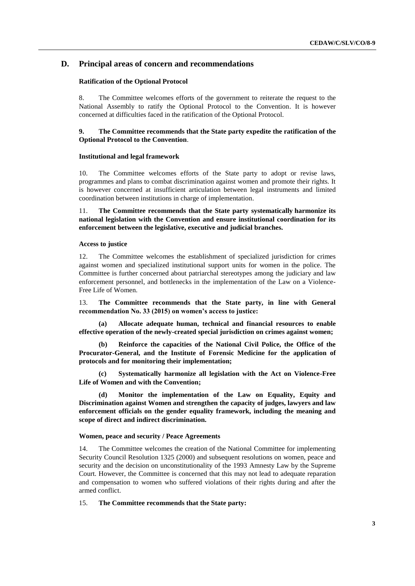### **D. Principal areas of concern and recommendations**

#### **Ratification of the Optional Protocol**

8. The Committee welcomes efforts of the government to reiterate the request to the National Assembly to ratify the Optional Protocol to the Convention. It is however concerned at difficulties faced in the ratification of the Optional Protocol.

#### **9. The Committee recommends that the State party expedite the ratification of the Optional Protocol to the Convention**.

#### **Institutional and legal framework**

10. The Committee welcomes efforts of the State party to adopt or revise laws, programmes and plans to combat discrimination against women and promote their rights. It is however concerned at insufficient articulation between legal instruments and limited coordination between institutions in charge of implementation.

11. **The Committee recommends that the State party systematically harmonize its national legislation with the Convention and ensure institutional coordination for its enforcement between the legislative, executive and judicial branches.**

#### **Access to justice**

12. The Committee welcomes the establishment of specialized jurisdiction for crimes against women and specialized institutional support units for women in the police. The Committee is further concerned about patriarchal stereotypes among the judiciary and law enforcement personnel, and bottlenecks in the implementation of the Law on a Violence-Free Life of Women.

13. **The Committee recommends that the State party, in line with General recommendation No. 33 (2015) on women's access to justice:**

**(a) Allocate adequate human, technical and financial resources to enable effective operation of the newly-created special jurisdiction on crimes against women;**

**(b) Reinforce the capacities of the National Civil Police, the Office of the Procurator-General, and the Institute of Forensic Medicine for the application of protocols and for monitoring their implementation;**

**(c) Systematically harmonize all legislation with the Act on Violence-Free Life of Women and with the Convention;**

**(d) Monitor the implementation of the Law on Equality, Equity and Discrimination against Women and strengthen the capacity of judges, lawyers and law enforcement officials on the gender equality framework, including the meaning and scope of direct and indirect discrimination.**

#### **Women, peace and security / Peace Agreements**

14. The Committee welcomes the creation of the National Committee for implementing Security Council Resolution 1325 (2000) and subsequent resolutions on women, peace and security and the decision on unconstitutionality of the 1993 Amnesty Law by the Supreme Court. However, the Committee is concerned that this may not lead to adequate reparation and compensation to women who suffered violations of their rights during and after the armed conflict.

#### 15. **The Committee recommends that the State party:**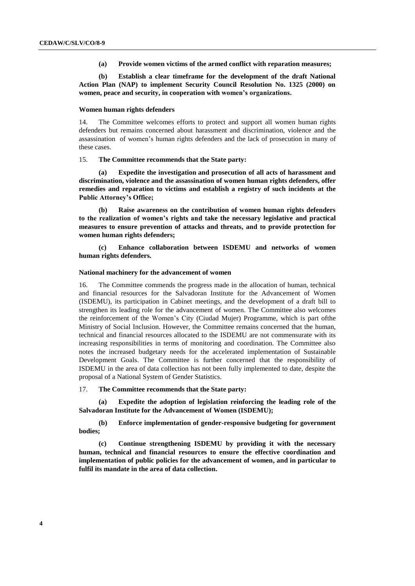**(a) Provide women victims of the armed conflict with reparation measures;**

**(b) Establish a clear timeframe for the development of the draft National Action Plan (NAP) to implement Security Council Resolution No. 1325 (2000) on women, peace and security, in cooperation with women's organizations.**

#### **Women human rights defenders**

14. The Committee welcomes efforts to protect and support all women human rights defenders but remains concerned about harassment and discrimination, violence and the assassination of women's human rights defenders and the lack of prosecution in many of these cases.

#### 15. **The Committee recommends that the State party:**

**(a) Expedite the investigation and prosecution of all acts of harassment and discrimination, violence and the assassination of women human rights defenders, offer remedies and reparation to victims and establish a registry of such incidents at the Public Attorney's Office;** 

**(b) Raise awareness on the contribution of women human rights defenders to the realization of women's rights and take the necessary legislative and practical measures to ensure prevention of attacks and threats, and to provide protection for women human rights defenders;**

**(c) Enhance collaboration between ISDEMU and networks of women human rights defenders.**

#### **National machinery for the advancement of women**

16. The Committee commends the progress made in the allocation of human, technical and financial resources for the Salvadoran Institute for the Advancement of Women (ISDEMU), its participation in Cabinet meetings, and the development of a draft bill to strengthen its leading role for the advancement of women. The Committee also welcomes the reinforcement of the Women's City (Ciudad Mujer) Programme, which is part ofthe Ministry of Social Inclusion. However, the Committee remains concerned that the human, technical and financial resources allocated to the ISDEMU are not commensurate with its increasing responsibilities in terms of monitoring and coordination. The Committee also notes the increased budgetary needs for the accelerated implementation of Sustainable Development Goals. The Committee is further concerned that the responsibility of ISDEMU in the area of data collection has not been fully implemented to date, despite the proposal of a National System of Gender Statistics.

17. **The Committee recommends that the State party:**

**(a) Expedite the adoption of legislation reinforcing the leading role of the Salvadoran Institute for the Advancement of Women (ISDEMU);**

**(b) Enforce implementation of gender-responsive budgeting for government bodies;**

**(c) Continue strengthening ISDEMU by providing it with the necessary human, technical and financial resources to ensure the effective coordination and implementation of public policies for the advancement of women, and in particular to fulfil its mandate in the area of data collection.**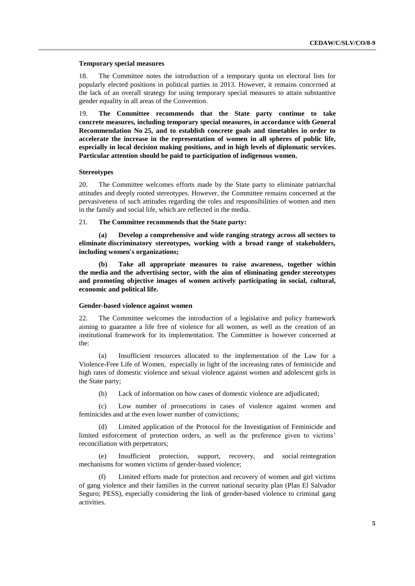#### **Temporary special measures**

18. The Committee notes the introduction of a temporary quota on electoral lists for popularly elected positions in political parties in 2013. However, it remains concerned at the lack of an overall strategy for using temporary special measures to attain substantive gender equality in all areas of the Convention.

19. **The Committee recommends that the State party continue to take concrete measures, including temporary special measures, in accordance with General Recommendation No 25, and to establish concrete goals and timetables in order to accelerate the increase in the representation of women in all spheres of public life, especially in local decision making positions, and in high levels of diplomatic services. Particular attention should be paid to participation of indigenous women.**

#### **Stereotypes**

20. The Committee welcomes efforts made by the State party to eliminate patriarchal attitudes and deeply rooted stereotypes. However, the Committee remains concerned at the pervasiveness of such attitudes regarding the roles and responsibilities of women and men in the family and social life, which are reflected in the media.

#### 21. **The Committee recommends that the State party:**

**(a) Develop a comprehensive and wide ranging strategy across all sectors to eliminate discriminatory stereotypes, working with a broad range of stakeholders, including women's organizations;**

**(b) Take all appropriate measures to raise awareness, together within the media and the advertising sector, with the aim of eliminating gender stereotypes and promoting objective images of women actively participating in social, cultural, economic and political life.**

#### **Gender-based violence against women**

22. The Committee welcomes the introduction of a legislative and policy framework aiming to guarantee a life free of violence for all women, as well as the creation of an institutional framework for its implementation. The Committee is however concerned at the:

(a) Insufficient resources allocated to the implementation of the Law for a Violence-Free Life of Women, especially in light of the increasing rates of feminicide and high rates of domestic violence and sexual violence against women and adolescent girls in the State party;

(b) Lack of information on how cases of domestic violence are adjudicated;

(c) Low number of prosecutions in cases of violence against women and feminicides and at the even lower number of convictions;

(d) Limited application of the Protocol for the Investigation of Feminicide and limited enforcement of protection orders, as well as the preference given to victims' reconciliation with perpetrators;

(e) Insufficient protection, support, recovery, and social reintegration mechanisms for women victims of gender-based violence;

(f) Limited efforts made for protection and recovery of women and girl victims of gang violence and their families in the current national security plan (Plan El Salvador Seguro; PESS), especially considering the link of gender-based violence to criminal gang activities.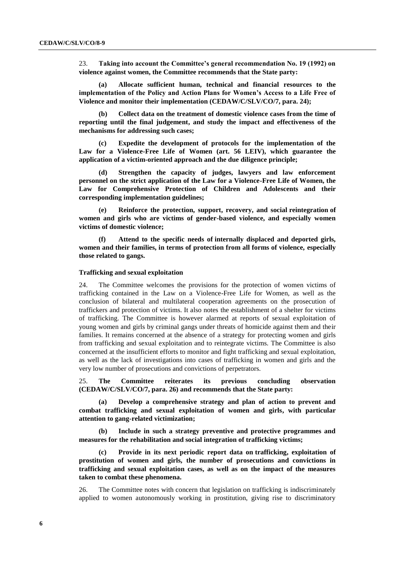23. **Taking into account the Committee's general recommendation No. 19 (1992) on violence against women, the Committee recommends that the State party:**

**(a) Allocate sufficient human, technical and financial resources to the implementation of the Policy and Action Plans for Women's Access to a Life Free of Violence and monitor their implementation (CEDAW/C/SLV/CO/7, para. 24);**

**(b) Collect data on the treatment of domestic violence cases from the time of reporting until the final judgement, and study the impact and effectiveness of the mechanisms for addressing such cases;**

**(c) Expedite the development of protocols for the implementation of the Law for a Violence-Free Life of Women (art. 56 LEIV), which guarantee the application of a victim-oriented approach and the due diligence principle;**

**(d) Strengthen the capacity of judges, lawyers and law enforcement personnel on the strict application of the Law for a Violence-Free Life of Women, the Law for Comprehensive Protection of Children and Adolescents and their corresponding implementation guidelines;**

**(e) Reinforce the protection, support, recovery, and social reintegration of women and girls who are victims of gender-based violence, and especially women victims of domestic violence;**

**(f) Attend to the specific needs of internally displaced and deported girls, women and their families, in terms of protection from all forms of violence, especially those related to gangs.**

#### **Trafficking and sexual exploitation**

24. The Committee welcomes the provisions for the protection of women victims of trafficking contained in the Law on a Violence-Free Life for Women, as well as the conclusion of bilateral and multilateral cooperation agreements on the prosecution of traffickers and protection of victims. It also notes the establishment of a shelter for victims of trafficking. The Committee is however alarmed at reports of sexual exploitation of young women and girls by criminal gangs under threats of homicide against them and their families. It remains concerned at the absence of a strategy for protecting women and girls from trafficking and sexual exploitation and to reintegrate victims. The Committee is also concerned at the insufficient efforts to monitor and fight trafficking and sexual exploitation, as well as the lack of investigations into cases of trafficking in women and girls and the very low number of prosecutions and convictions of perpetrators.

25. **The Committee reiterates its previous concluding observation (CEDAW/C/SLV/CO/7, para. 26) and recommends that the State party:**

**(a) Develop a comprehensive strategy and plan of action to prevent and combat trafficking and sexual exploitation of women and girls, with particular attention to gang-related victimization;**

**(b) Include in such a strategy preventive and protective programmes and measures for the rehabilitation and social integration of trafficking victims;**

**(c) Provide in its next periodic report data on trafficking, exploitation of prostitution of women and girls, the number of prosecutions and convictions in trafficking and sexual exploitation cases, as well as on the impact of the measures taken to combat these phenomena.**

26. The Committee notes with concern that legislation on trafficking is indiscriminately applied to women autonomously working in prostitution, giving rise to discriminatory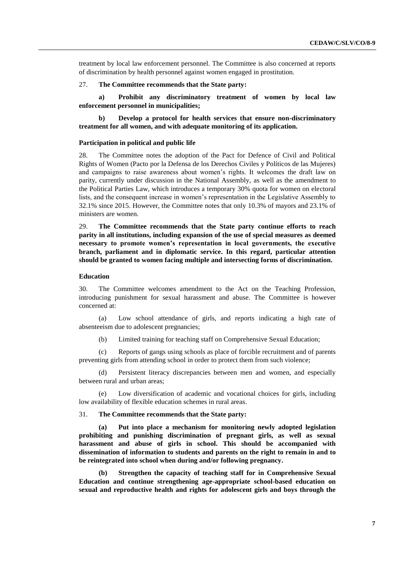treatment by local law enforcement personnel. The Committee is also concerned at reports of discrimination by health personnel against women engaged in prostitution.

#### 27. **The Committee recommends that the State party:**

**a) Prohibit any discriminatory treatment of women by local law enforcement personnel in municipalities;**

**b) Develop a protocol for health services that ensure non-discriminatory treatment for all women, and with adequate monitoring of its application.**

#### **Participation in political and public life**

28. The Committee notes the adoption of the Pact for Defence of Civil and Political Rights of Women (Pacto por la Defensa de los Derechos Civiles y Políticos de las Mujeres) and campaigns to raise awareness about women's rights. It welcomes the draft law on parity, currently under discussion in the National Assembly, as well as the amendment to the Political Parties Law, which introduces a temporary 30% quota for women on electoral lists, and the consequent increase in women's representation in the Legislative Assembly to 32.1% since 2015. However, the Committee notes that only 10.3% of mayors and 23.1% of ministers are women.

29. **The Committee recommends that the State party continue efforts to reach parity in all institutions, including expansion of the use of special measures as deemed necessary to promote women's representation in local governments, the executive branch, parliament and in diplomatic service. In this regard, particular attention should be granted to women facing multiple and intersecting forms of discrimination.**

#### **Education**

30. The Committee welcomes amendment to the Act on the Teaching Profession, introducing punishment for sexual harassment and abuse. The Committee is however concerned at:

(a) Low school attendance of girls, and reports indicating a high rate of absenteeism due to adolescent pregnancies;

(b) Limited training for teaching staff on Comprehensive Sexual Education;

(c) Reports of gangs using schools as place of forcible recruitment and of parents preventing girls from attending school in order to protect them from such violence;

(d) Persistent literacy discrepancies between men and women, and especially between rural and urban areas;

(e) Low diversification of academic and vocational choices for girls, including low availability of flexible education schemes in rural areas.

31. **The Committee recommends that the State party:**

**(a) Put into place a mechanism for monitoring newly adopted legislation prohibiting and punishing discrimination of pregnant girls, as well as sexual harassment and abuse of girls in school. This should be accompanied with dissemination of information to students and parents on the right to remain in and to be reintegrated into school when during and/or following pregnancy.** 

**(b) Strengthen the capacity of teaching staff for in Comprehensive Sexual Education and continue strengthening age-appropriate school-based education on sexual and reproductive health and rights for adolescent girls and boys through the**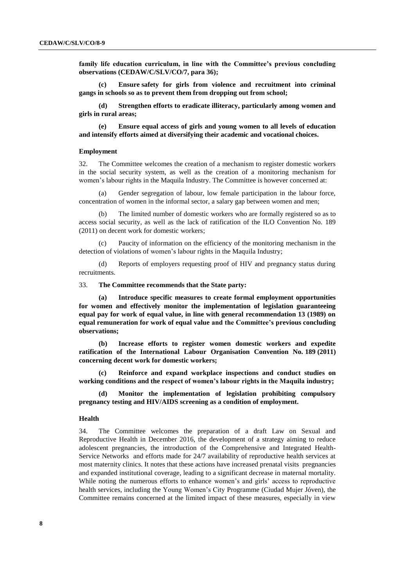**family life education curriculum, in line with the Committee's previous concluding observations (CEDAW/C/SLV/CO/7, para 36);**

**(c) Ensure safety for girls from violence and recruitment into criminal gangs in schools so as to prevent them from dropping out from school;**

**(d) Strengthen efforts to eradicate illiteracy, particularly among women and girls in rural areas;** 

**(e) Ensure equal access of girls and young women to all levels of education and intensify efforts aimed at diversifying their academic and vocational choices.**

#### **Employment**

32. The Committee welcomes the creation of a mechanism to register domestic workers in the social security system, as well as the creation of a monitoring mechanism for women's labour rights in the Maquila Industry. The Committee is however concerned at:

(a) Gender segregation of labour, low female participation in the labour force, concentration of women in the informal sector, a salary gap between women and men;

(b) The limited number of domestic workers who are formally registered so as to access social security, as well as the lack of ratification of the ILO Convention No. 189 (2011) on decent work for domestic workers;

(c) Paucity of information on the efficiency of the monitoring mechanism in the detection of violations of women's labour rights in the Maquila Industry;

(d) Reports of employers requesting proof of HIV and pregnancy status during recruitments.

#### 33. **The Committee recommends that the State party:**

**(a) Introduce specific measures to create formal employment opportunities for women and effectively monitor the implementation of legislation guaranteeing equal pay for work of equal value, in line with general recommendation 13 (1989) on equal remuneration for work of equal value and the Committee's previous concluding observations;**

**(b) Increase efforts to register women domestic workers and expedite ratification of the International Labour Organisation Convention No. 189 (2011) concerning decent work for domestic workers;**

**(c) Reinforce and expand workplace inspections and conduct studies on working conditions and the respect of women's labour rights in the Maquila industry;**

**(d) Monitor the implementation of legislation prohibiting compulsory pregnancy testing and HIV/AIDS screening as a condition of employment.**

#### **Health**

34. The Committee welcomes the preparation of a draft Law on Sexual and Reproductive Health in December 2016, the development of a strategy aiming to reduce adolescent pregnancies, the introduction of the Comprehensive and Integrated Health-Service Networks and efforts made for 24/7 availability of reproductive health services at most maternity clinics. It notes that these actions have increased prenatal visits pregnancies and expanded institutional coverage, leading to a significant decrease in maternal mortality. While noting the numerous efforts to enhance women's and girls' access to reproductive health services, including the Young Women's City Programme (Ciudad Mujer Jóven), the Committee remains concerned at the limited impact of these measures, especially in view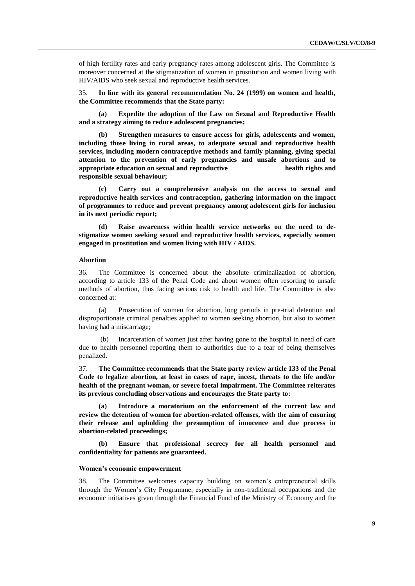of high fertility rates and early pregnancy rates among adolescent girls. The Committee is moreover concerned at the stigmatization of women in prostitution and women living with HIV/AIDS who seek sexual and reproductive health services.

35. **In line with its general recommendation No. 24 (1999) on women and health, the Committee recommends that the State party:**

**(a) Expedite the adoption of the Law on Sexual and Reproductive Health and a strategy aiming to reduce adolescent pregnancies;**

**(b) Strengthen measures to ensure access for girls, adolescents and women, including those living in rural areas, to adequate sexual and reproductive health services, including modern contraceptive methods and family planning, giving special attention to the prevention of early pregnancies and unsafe abortions and to appropriate education on sexual and reproductive health rights and responsible sexual behaviour;**

**(c) Carry out a comprehensive analysis on the access to sexual and reproductive health services and contraception, gathering information on the impact of programmes to reduce and prevent pregnancy among adolescent girls for inclusion in its next periodic report;**

**(d) Raise awareness within health service networks on the need to destigmatize women seeking sexual and reproductive health services, especially women engaged in prostitution and women living with HIV / AIDS.**

#### **Abortion**

36. The Committee is concerned about the absolute criminalization of abortion, according to article 133 of the Penal Code and about women often resorting to unsafe methods of abortion, thus facing serious risk to health and life. The Committee is also concerned at:

(a) Prosecution of women for abortion, long periods in pre-trial detention and disproportionate criminal penalties applied to women seeking abortion, but also to women having had a miscarriage;

(b) Incarceration of women just after having gone to the hospital in need of care due to health personnel reporting them to authorities due to a fear of being themselves penalized.

37. **The Committee recommends that the State party review article 133 of the Penal Code to legalize abortion, at least in cases of rape, incest, threats to the life and/or health of the pregnant woman, or severe foetal impairment. The Committee reiterates its previous concluding observations and encourages the State party to:**

**(a) Introduce a moratorium on the enforcement of the current law and review the detention of women for abortion-related offenses, with the aim of ensuring their release and upholding the presumption of innocence and due process in abortion-related proceedings;**

**(b) Ensure that professional secrecy for all health personnel and confidentiality for patients are guaranteed.**

#### **Women's economic empowerment**

38. The Committee welcomes capacity building on women's entrepreneurial skills through the Women's City Programme, especially in non-traditional occupations and the economic initiatives given through the Financial Fund of the Ministry of Economy and the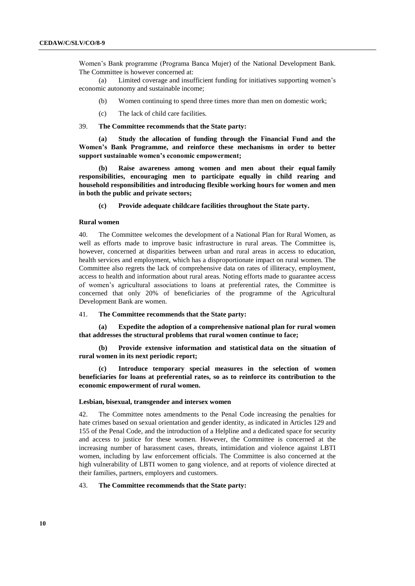Women's Bank programme (Programa Banca Mujer) of the National Development Bank. The Committee is however concerned at:

(a) Limited coverage and insufficient funding for initiatives supporting women's economic autonomy and sustainable income;

- (b) Women continuing to spend three times more than men on domestic work;
- (c) The lack of child care facilities.

39. **The Committee recommends that the State party:**

**(a) Study the allocation of funding through the Financial Fund and the Women's Bank Programme, and reinforce these mechanisms in order to better support sustainable women's economic empowerment;**

**(b) Raise awareness among women and men about their equal family responsibilities, encouraging men to participate equally in child rearing and household responsibilities and introducing flexible working hours for women and men in both the public and private sectors;**

**(c) Provide adequate childcare facilities throughout the State party.**

#### **Rural women**

40. The Committee welcomes the development of a National Plan for Rural Women, as well as efforts made to improve basic infrastructure in rural areas. The Committee is, however, concerned at disparities between urban and rural areas in access to education, health services and employment, which has a disproportionate impact on rural women. The Committee also regrets the lack of comprehensive data on rates of illiteracy, employment, access to health and information about rural areas. Noting efforts made to guarantee access of women's agricultural associations to loans at preferential rates, the Committee is concerned that only 20% of beneficiaries of the programme of the Agricultural Development Bank are women.

#### 41. **The Committee recommends that the State party:**

**(a) Expedite the adoption of a comprehensive national plan for rural women that addresses the structural problems that rural women continue to face;**

**(b) Provide extensive information and statistical data on the situation of rural women in its next periodic report;**

**(c) Introduce temporary special measures in the selection of women beneficiaries for loans at preferential rates, so as to reinforce its contribution to the economic empowerment of rural women.**

#### **Lesbian, bisexual, transgender and intersex women**

42. The Committee notes amendments to the Penal Code increasing the penalties for hate crimes based on sexual orientation and gender identity, as indicated in Articles 129 and 155 of the Penal Code, and the introduction of a Helpline and a dedicated space for security and access to justice for these women. However, the Committee is concerned at the increasing number of harassment cases, threats, intimidation and violence against LBTI women, including by law enforcement officials. The Committee is also concerned at the high vulnerability of LBTI women to gang violence, and at reports of violence directed at their families, partners, employers and customers.

#### 43. **The Committee recommends that the State party:**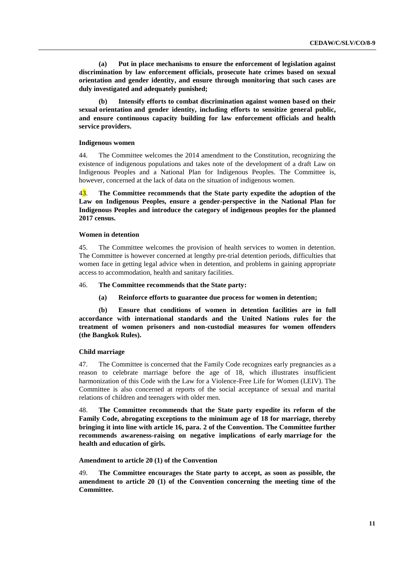**(a) Put in place mechanisms to ensure the enforcement of legislation against discrimination by law enforcement officials, prosecute hate crimes based on sexual orientation and gender identity, and ensure through monitoring that such cases are duly investigated and adequately punished;**

**(b) Intensify efforts to combat discrimination against women based on their sexual orientation and gender identity, including efforts to sensitize general public, and ensure continuous capacity building for law enforcement officials and health service providers.**

#### **Indigenous women**

44. The Committee welcomes the 2014 amendment to the Constitution, recognizing the existence of indigenous populations and takes note of the development of a draft Law on Indigenous Peoples and a National Plan for Indigenous Peoples. The Committee is, however, concerned at the lack of data on the situation of indigenous women.

43. **The Committee recommends that the State party expedite the adoption of the Law on Indigenous Peoples, ensure a gender-perspective in the National Plan for Indigenous Peoples and introduce the category of indigenous peoples for the planned 2017 census.**

#### **Women in detention**

45. The Committee welcomes the provision of health services to women in detention. The Committee is however concerned at lengthy pre-trial detention periods, difficulties that women face in getting legal advice when in detention, and problems in gaining appropriate access to accommodation, health and sanitary facilities.

#### 46. **The Committee recommends that the State party:**

**(a) Reinforce efforts to guarantee due process for women in detention;**

**(b) Ensure that conditions of women in detention facilities are in full accordance with international standards and the United Nations rules for the treatment of women prisoners and non-custodial measures for women offenders (the Bangkok Rules).**

#### **Child marriage**

47. The Committee is concerned that the Family Code recognizes early pregnancies as a reason to celebrate marriage before the age of 18, which illustrates insufficient harmonization of this Code with the Law for a Violence-Free Life for Women (LEIV). The Committee is also concerned at reports of the social acceptance of sexual and marital relations of children and teenagers with older men.

48. **The Committee recommends that the State party expedite its reform of the Family Code, abrogating exceptions to the minimum age of 18 for marriage, thereby bringing it into line with article 16, para. 2 of the Convention. The Committee further recommends awareness-raising on negative implications of early marriage for the health and education of girls.**

#### **Amendment to article 20 (1) of the Convention**

49. **The Committee encourages the State party to accept, as soon as possible, the amendment to article 20 (1) of the Convention concerning the meeting time of the Committee.**